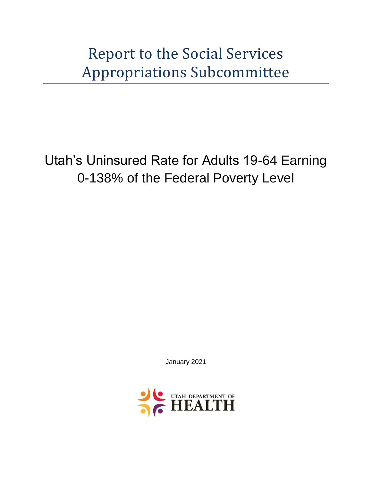Report to the Social Services Appropriations Subcommittee

Utah's Uninsured Rate for Adults 19-64 Earning 0-138% of the Federal Poverty Level

January 2021